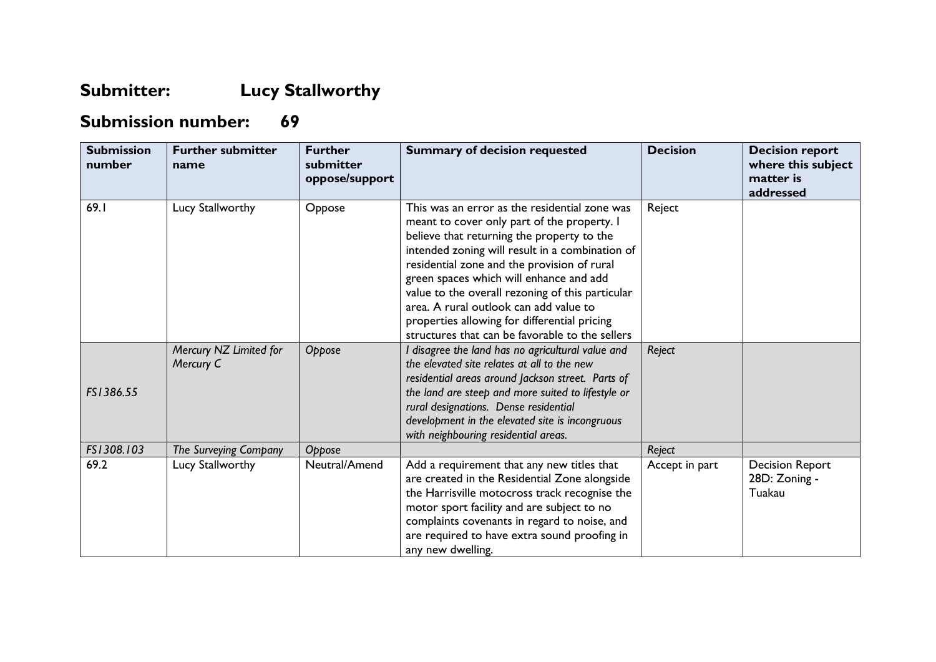## **Submitter: Lucy Stallworthy**

## **Submission number: 69**

| <b>Submission</b><br>number | <b>Further submitter</b><br>name    | <b>Further</b><br>submitter<br>oppose/support | <b>Summary of decision requested</b>                                                                                                                                                                                                                                                                                                                                                                                                                                                     | <b>Decision</b> | <b>Decision report</b><br>where this subject<br>matter is<br>addressed |
|-----------------------------|-------------------------------------|-----------------------------------------------|------------------------------------------------------------------------------------------------------------------------------------------------------------------------------------------------------------------------------------------------------------------------------------------------------------------------------------------------------------------------------------------------------------------------------------------------------------------------------------------|-----------------|------------------------------------------------------------------------|
| 69.1                        | Lucy Stallworthy                    | Oppose                                        | This was an error as the residential zone was<br>meant to cover only part of the property. I<br>believe that returning the property to the<br>intended zoning will result in a combination of<br>residential zone and the provision of rural<br>green spaces which will enhance and add<br>value to the overall rezoning of this particular<br>area. A rural outlook can add value to<br>properties allowing for differential pricing<br>structures that can be favorable to the sellers | Reject          |                                                                        |
| FS1386.55                   | Mercury NZ Limited for<br>Mercury C | Oppose                                        | I disagree the land has no agricultural value and<br>the elevated site relates at all to the new<br>residential areas around Jackson street. Parts of<br>the land are steep and more suited to lifestyle or<br>rural designations. Dense residential<br>development in the elevated site is incongruous<br>with neighbouring residential areas.                                                                                                                                          | Reject          |                                                                        |
| FS1308.103                  | The Surveying Company               | Oppose                                        |                                                                                                                                                                                                                                                                                                                                                                                                                                                                                          | Reject          |                                                                        |
| 69.2                        | Lucy Stallworthy                    | Neutral/Amend                                 | Add a requirement that any new titles that<br>are created in the Residential Zone alongside<br>the Harrisville motocross track recognise the<br>motor sport facility and are subject to no<br>complaints covenants in regard to noise, and<br>are required to have extra sound proofing in<br>any new dwelling.                                                                                                                                                                          | Accept in part  | <b>Decision Report</b><br>28D: Zoning -<br>Tuakau                      |